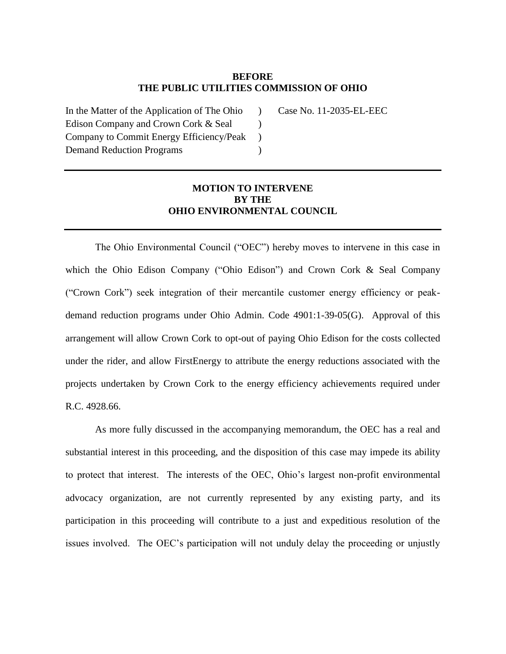### **BEFORE THE PUBLIC UTILITIES COMMISSION OF OHIO**

 $\mathcal{L}$  $\mathcal{L}$  $\mathcal{L}$  $\mathcal{L}$ 

In the Matter of the Application of The Ohio Edison Company and Crown Cork & Seal Company to Commit Energy Efficiency/Peak Demand Reduction Programs

Case No. 11-2035-EL-EEC

# **MOTION TO INTERVENE BY THE OHIO ENVIRONMENTAL COUNCIL**

The Ohio Environmental Council ("OEC") hereby moves to intervene in this case in which the Ohio Edison Company ("Ohio Edison") and Crown Cork & Seal Company ("Crown Cork") seek integration of their mercantile customer energy efficiency or peakdemand reduction programs under Ohio Admin. Code 4901:1-39-05(G). Approval of this arrangement will allow Crown Cork to opt-out of paying Ohio Edison for the costs collected under the rider, and allow FirstEnergy to attribute the energy reductions associated with the projects undertaken by Crown Cork to the energy efficiency achievements required under R.C. 4928.66.

As more fully discussed in the accompanying memorandum, the OEC has a real and substantial interest in this proceeding, and the disposition of this case may impede its ability to protect that interest. The interests of the OEC, Ohio's largest non-profit environmental advocacy organization, are not currently represented by any existing party, and its participation in this proceeding will contribute to a just and expeditious resolution of the issues involved. The OEC's participation will not unduly delay the proceeding or unjustly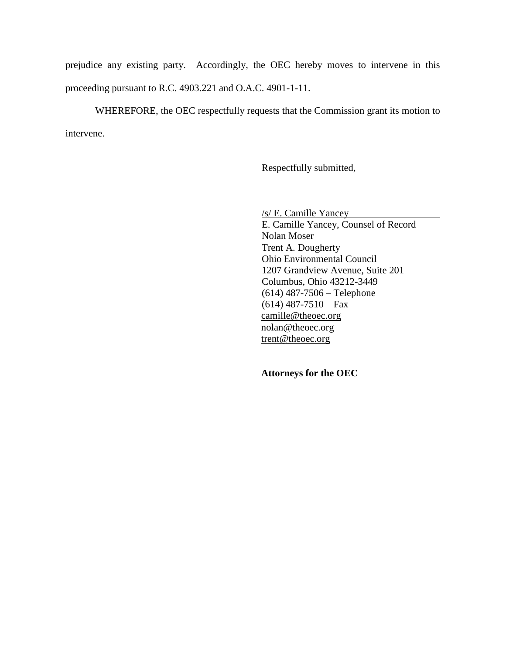prejudice any existing party. Accordingly, the OEC hereby moves to intervene in this proceeding pursuant to R.C. 4903.221 and O.A.C. 4901-1-11.

WHEREFORE, the OEC respectfully requests that the Commission grant its motion to intervene.

Respectfully submitted,

/s/ E. Camille Yancey E. Camille Yancey, Counsel of Record Nolan Moser Trent A. Dougherty Ohio Environmental Council 1207 Grandview Avenue, Suite 201 Columbus, Ohio 43212-3449 (614) 487-7506 – Telephone  $(614)$  487-7510 – Fax camille@theoec.org nolan@theoec.org trent@theoec.org

 **Attorneys for the OEC**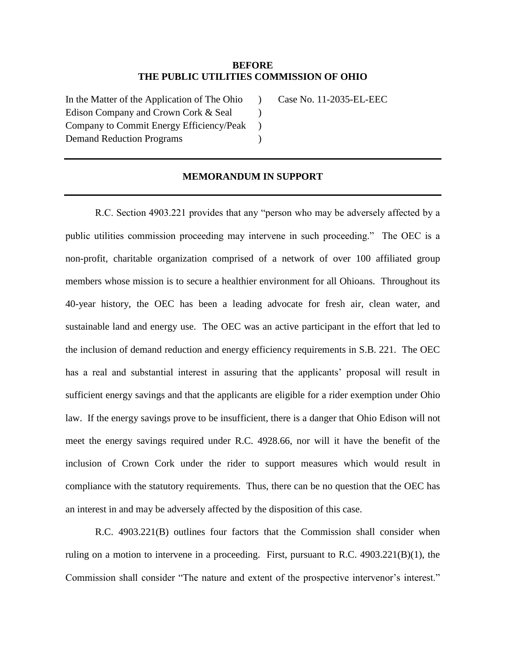#### **BEFORE THE PUBLIC UTILITIES COMMISSION OF OHIO**

 $\lambda$  $\lambda$  $\mathcal{L}$  $\lambda$ 

In the Matter of the Application of The Ohio Edison Company and Crown Cork & Seal Company to Commit Energy Efficiency/Peak Demand Reduction Programs

Case No. 11-2035-EL-EEC

#### **MEMORANDUM IN SUPPORT**

R.C. Section 4903.221 provides that any "person who may be adversely affected by a public utilities commission proceeding may intervene in such proceeding." The OEC is a non-profit, charitable organization comprised of a network of over 100 affiliated group members whose mission is to secure a healthier environment for all Ohioans. Throughout its 40-year history, the OEC has been a leading advocate for fresh air, clean water, and sustainable land and energy use. The OEC was an active participant in the effort that led to the inclusion of demand reduction and energy efficiency requirements in S.B. 221. The OEC has a real and substantial interest in assuring that the applicants' proposal will result in sufficient energy savings and that the applicants are eligible for a rider exemption under Ohio law. If the energy savings prove to be insufficient, there is a danger that Ohio Edison will not meet the energy savings required under R.C. 4928.66, nor will it have the benefit of the inclusion of Crown Cork under the rider to support measures which would result in compliance with the statutory requirements. Thus, there can be no question that the OEC has an interest in and may be adversely affected by the disposition of this case.

R.C. 4903.221(B) outlines four factors that the Commission shall consider when ruling on a motion to intervene in a proceeding. First, pursuant to R.C. 4903.221(B)(1), the Commission shall consider "The nature and extent of the prospective intervenor's interest."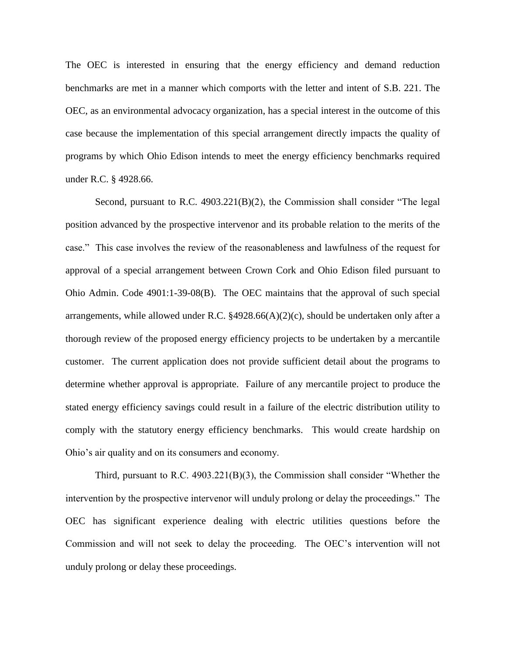The OEC is interested in ensuring that the energy efficiency and demand reduction benchmarks are met in a manner which comports with the letter and intent of S.B. 221. The OEC, as an environmental advocacy organization, has a special interest in the outcome of this case because the implementation of this special arrangement directly impacts the quality of programs by which Ohio Edison intends to meet the energy efficiency benchmarks required under R.C. § 4928.66.

Second, pursuant to R.C. 4903.221(B)(2), the Commission shall consider "The legal position advanced by the prospective intervenor and its probable relation to the merits of the case." This case involves the review of the reasonableness and lawfulness of the request for approval of a special arrangement between Crown Cork and Ohio Edison filed pursuant to Ohio Admin. Code 4901:1-39-08(B). The OEC maintains that the approval of such special arrangements, while allowed under R.C.  $\S 4928.66(A)(2)(c)$ , should be undertaken only after a thorough review of the proposed energy efficiency projects to be undertaken by a mercantile customer. The current application does not provide sufficient detail about the programs to determine whether approval is appropriate. Failure of any mercantile project to produce the stated energy efficiency savings could result in a failure of the electric distribution utility to comply with the statutory energy efficiency benchmarks. This would create hardship on Ohio's air quality and on its consumers and economy.

Third, pursuant to R.C. 4903.221(B)(3), the Commission shall consider "Whether the intervention by the prospective intervenor will unduly prolong or delay the proceedings." The OEC has significant experience dealing with electric utilities questions before the Commission and will not seek to delay the proceeding. The OEC's intervention will not unduly prolong or delay these proceedings.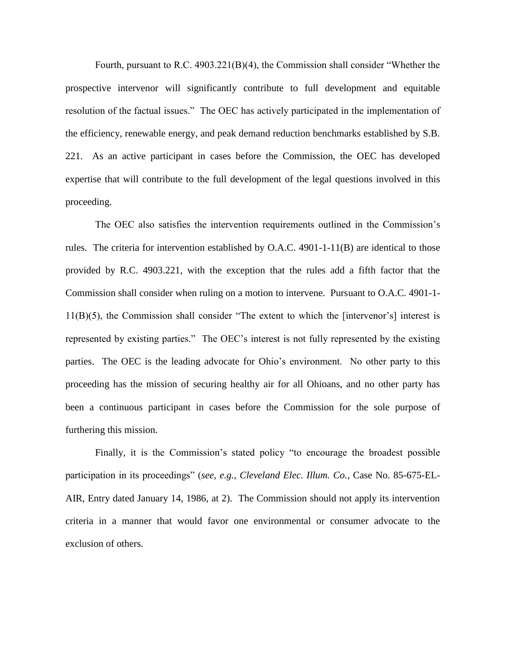Fourth, pursuant to R.C. 4903.221(B)(4), the Commission shall consider "Whether the prospective intervenor will significantly contribute to full development and equitable resolution of the factual issues." The OEC has actively participated in the implementation of the efficiency, renewable energy, and peak demand reduction benchmarks established by S.B. 221. As an active participant in cases before the Commission, the OEC has developed expertise that will contribute to the full development of the legal questions involved in this proceeding.

The OEC also satisfies the intervention requirements outlined in the Commission's rules. The criteria for intervention established by  $O.A.C. 4901-1-11(B)$  are identical to those provided by R.C. 4903.221, with the exception that the rules add a fifth factor that the Commission shall consider when ruling on a motion to intervene. Pursuant to O.A.C. 4901-1- 11(B)(5), the Commission shall consider "The extent to which the [intervenor's] interest is represented by existing parties." The OEC's interest is not fully represented by the existing parties. The OEC is the leading advocate for Ohio's environment. No other party to this proceeding has the mission of securing healthy air for all Ohioans, and no other party has been a continuous participant in cases before the Commission for the sole purpose of furthering this mission.

Finally, it is the Commission's stated policy "to encourage the broadest possible participation in its proceedings" (*see, e.g., Cleveland Elec. Illum. Co.*, Case No. 85-675-EL-AIR, Entry dated January 14, 1986, at 2). The Commission should not apply its intervention criteria in a manner that would favor one environmental or consumer advocate to the exclusion of others.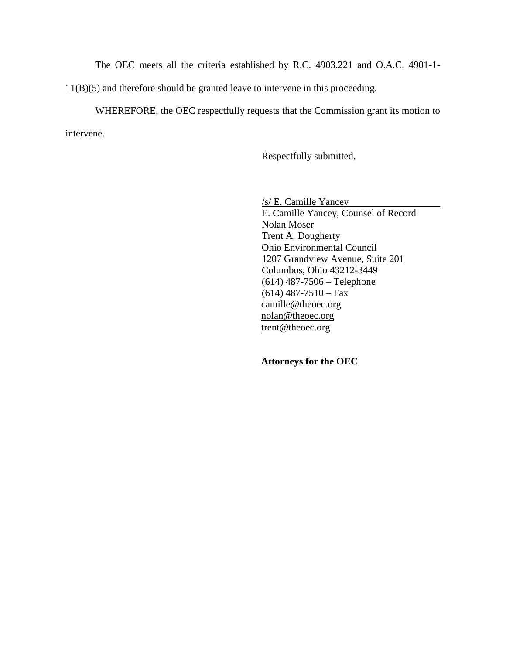The OEC meets all the criteria established by R.C. 4903.221 and O.A.C. 4901-1-

11(B)(5) and therefore should be granted leave to intervene in this proceeding.

WHEREFORE, the OEC respectfully requests that the Commission grant its motion to intervene.

Respectfully submitted,

/s/ E. Camille Yancey

E. Camille Yancey, Counsel of Record Nolan Moser Trent A. Dougherty Ohio Environmental Council 1207 Grandview Avenue, Suite 201 Columbus, Ohio 43212-3449 (614) 487-7506 – Telephone  $(614)$  487-7510 – Fax camille@theoec.org nolan@theoec.org trent@theoec.org

 **Attorneys for the OEC**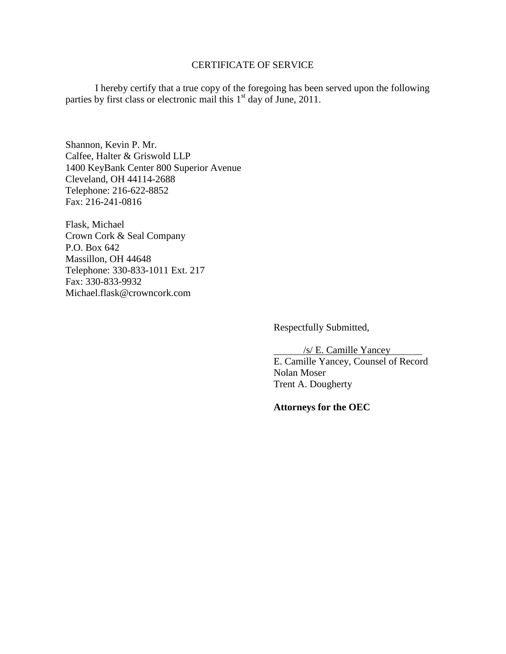# CERTIFICATE OF SERVICE

I hereby certify that a true copy of the foregoing has been served upon the following parties by first class or electronic mail this 1<sup>st</sup> day of June, 2011.

Shannon, Kevin P. Mr. Calfee, Halter & Griswold LLP 1400 KeyBank Center 800 Superior Avenue Cleveland, OH 44114-2688 Telephone: 216-622-8852 Fax: 216-241-0816

Flask, Michael Crown Cork & Seal Company P.O. Box 642 Massillon, OH 44648 Telephone: 330-833-1011 Ext. 217 Fax: 330-833-9932 Michael.flask@crowncork.com

Respectfully Submitted,

/s/ E. Camille Yancey E. Camille Yancey, Counsel of Record Nolan Moser Trent A. Dougherty

**Attorneys for the OEC**